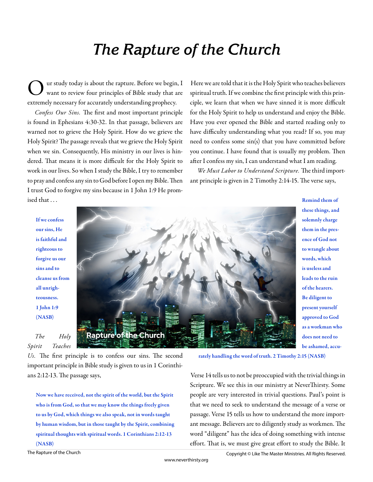# *The Rapture of the Church*

ur study today is about the rapture. Before we begin, I want to review four principles of Bible study that are extremely necessary for accurately understanding prophecy.

*Confess Our Sins.* The first and most important principle is found in Ephesians 4:30-32. In that passage, believers are warned not to grieve the Holy Spirit. How do we grieve the Holy Spirit? The passage reveals that we grieve the Holy Spirit when we sin. Consequently, His ministry in our lives is hindered. That means it is more difficult for the Holy Spirit to work in our lives. So when I study the Bible, I try to remember to pray and confess any sin to God before I open my Bible. Then I trust God to forgive my sins because in 1 John 1:9 He promised that . . .

Here we are told that it is the Holy Spirit who teaches believers spiritual truth. If we combine the first principle with this principle, we learn that when we have sinned it is more difficult for the Holy Spirit to help us understand and enjoy the Bible. Have you ever opened the Bible and started reading only to have difficulty understanding what you read? If so, you may need to confess some sin(s) that you have committed before you continue. I have found that is usually my problem. Then after I confess my sin, I can understand what I am reading.

*We Must Labor to Understand Scripture*. The third important principle is given in 2 Timothy 2:14-15. The verse says,

**If we confess our sins, He is faithful and righteous to forgive us our sins and to cleanse us from all unrighteousness. 1 John 1:9 (NASB)**

*The Holy Spirit Teaches* 



**Remind them of these things, and solemnly charge them in the presence of God not to wrangle about words, which is useless and leads to the ruin of the hearers. Be diligent to present yourself approved to God as a workman who does not need to be ashamed, accu-**

**rately handling the word of truth. 2 Timothy 2:15 (NASB)**

Verse 14 tells us to not be preoccupied with the trivial things in Scripture. We see this in our ministry at NeverThirsty. Some people are very interested in trivial questions. Paul's point is that we need to seek to understand the message of a verse or passage. Verse 15 tells us how to understand the more important message. Believers are to diligently study as workmen. The word "diligent" has the idea of doing something with intense effort. That is, we must give great effort to study the Bible. It

*Us.* The first principle is to confess our sins. The second important principle in Bible study is given to us in 1 Corinthians 2:12-13. The passage says,

**Now we have received, not the spirit of the world, but the Spirit who is from God, so that we may know the things freely given to us by God, which things we also speak, not in words taught by human wisdom, but in those taught by the Spirit, combining spiritual thoughts with spiritual words. 1 Corinthians 2:12-13 (NASB)**

The Rapture of the Church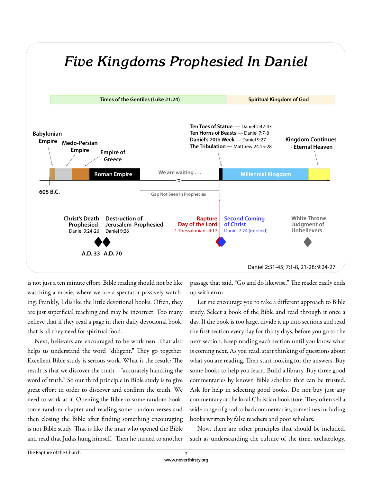

is not just a ten minute effort. Bible reading should not be like watching a movie, where we are a spectator passively watching. Frankly, I dislike the little devotional books. Often, they are just superficial teaching and may be incorrect. Too many believe that if they read a page in their daily devotional book, that is all they need for spiritual food.

Next, believers are encouraged to be workmen. That also helps us understand the word "diligent." They go together. Excellent Bible study is serious work. What is the result? The result is that we discover the truth—"accurately handling the word of truth." So our third principle in Bible study is to give great effort in order to discover and confirm the truth. We need to work at it. Opening the Bible to some random book, some random chapter and reading some random verses and then closing the Bible after finding something encouraging is not Bible study. That is like the man who opened the Bible and read that Judas hung himself. Then he turned to another passage that said, "Go and do likewise." The reader easily ends up with error.

Let me encourage you to take a different approach to Bible study. Select a book of the Bible and read through it once a day. If the book is too large, divide it up into sections and read the first section every day for thirty days, before you go to the next section. Keep reading each section until you know what is coming next. As you read, start thinking of questions about what you are reading. Then start looking for the answers. Buy some books to help you learn. Build a library. Buy three good commentaries by known Bible scholars that can be trusted. Ask for help in selecting good books. Do not buy just any commentary at the local Christian bookstore. They often sell a wide range of good to bad commentaries, sometimes including books written by false teachers and poor scholars.

Now, there are other principles that should be included, such as understanding the culture of the time, archaeology,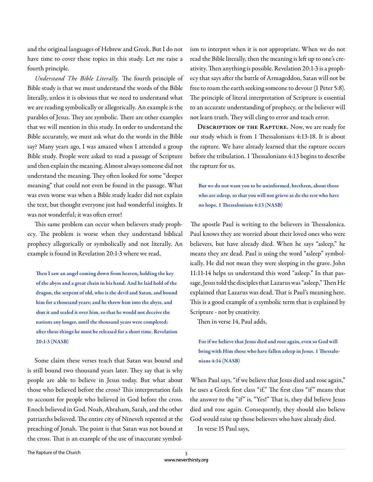and the original languages of Hebrew and Greek. But I do not have time to cover these topics in this study. Let me raise a fourth principle.

*Understand The Bible Literally*. The fourth principle of Bible study is that we must understand the words of the Bible literally, unless it is obvious that we need to understand what we are reading symbolically or allegorically. An example is the parables of Jesus. They are symbolic. There are other examples that we will mention in this study. In order to understand the Bible accurately, we must ask what do the words in the Bible say? Many years ago, I was amazed when I attended a group Bible study. People were asked to read a passage of Scripture and then explain the meaning. Almost always someone did not understand the meaning. They often looked for some "deeper meaning" that could not even be found in the passage. What was even worse was when a Bible study leader did not explain the text, but thought everyone just had wonderful insights. It was not wonderful; it was often error!

This same problem can occur when believers study prophecy. The problem is worse when they understand biblical prophecy allegorically or symbolically and not literally. An example is found in Revelation 20:1-3 where we read,

Then I saw an angel coming down from heaven, holding the key **of the abyss and a great chain in his hand. And he laid hold of the dragon, the serpent of old, who is the devil and Satan, and bound him for a thousand years; and he threw him into the abyss, and shut it and sealed it over him, so that he would not deceive the nations any longer, until the thousand years were completed;**  after these things he must be released for a short time. Revelation **20:1-3 (NASB)**

Some claim these verses teach that Satan was bound and is still bound two thousand years later. They say that is why people are able to believe in Jesus today. But what about those who believed before the cross? This interpretation fails to account for people who believed in God before the cross. Enoch believed in God. Noah, Abraham, Sarah, and the other patriarchs believed. The entire city of Nineveh repented at the preaching of Jonah. The point is that Satan was not bound at the cross. That is an example of the use of inaccurate symbolism to interpret when it is not appropriate. When we do not read the Bible literally, then the meaning is left up to one's creativity. Then anything is possible. Revelation 20:1-3 is a prophecy that says after the battle of Armageddon, Satan will not be free to roam the earth seeking someone to devour (1 Peter 5:8). The principle of literal interpretation of Scripture is essential to an accurate understanding of prophecy, or the believer will not learn truth. They will cling to error and teach error.

**Description of the Rapture.** Now, we are ready for our study which is from 1 Thessalonians 4:13-18. It is about the rapture. We have already learned that the rapture occurs before the tribulation. 1 Thessalonians 4:13 begins to describe the rapture for us.

**But we do not want you to be uninformed, brethren, about those who are asleep, so that you will not grieve as do the rest who have**  no hope. 1 Thessalonians 4:13 (NASB)

The apostle Paul is writing to the believers in Thessalonica. Paul knows they are worried about their loved ones who were believers, but have already died. When he says "asleep," he means they are dead. Paul is using the word "asleep" symbolically. He did not mean they were sleeping in the grave. John 11:11-14 helps us understand this word "asleep." In that passage, Jesus told the disciples that Lazarus was "asleep," Then He explained that Lazarus was dead. That is Paul's meaning here. This is a good example of a symbolic term that is explained by Scripture - not by creativity.

Then in verse 14, Paul adds,

**For if we believe that Jesus died and rose again, even so God will**  bring with Him those who have fallen asleep in Jesus. 1 Thessalo**nians 4:14 (NASB)**

When Paul says, "if we believe that Jesus died and rose again," he uses a Greek first class "if." The first class "if" means that the answer to the "if" is, "Yes!" That is, they did believe Jesus died and rose again. Consequently, they should also believe God would raise up those believers who have already died.

In verse 15 Paul says,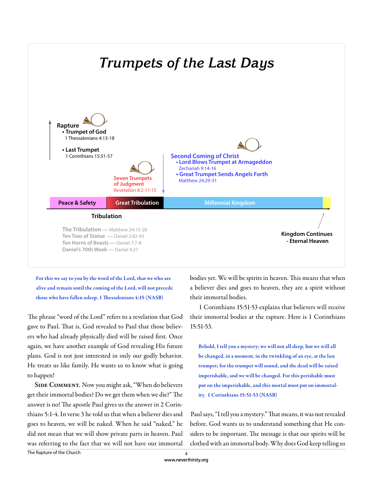

**For this we say to you by the word of the Lord, that we who are alive and remain until the coming of the Lord, will not precede**  those who have fallen asleep. 1 Thessalonians 4:15 (NASB)

The phrase "word of the Lord" refers to a revelation that God gave to Paul. That is, God revealed to Paul that those believers who had already physically died will be raised first. Once again, we have another example of God revealing His future plans. God is not just interested in only our godly behavior. He treats us like family. He wants us to know what is going to happen!

SIDE COMMENT. Now you might ask, "When do believers get their immortal bodies? Do we get them when we die?" The answer is no! The apostle Paul gives us the answer in 2 Corinthians 5:1-4. In verse 3 he told us that when a believer dies and goes to heaven, we will be naked. When he said "naked," he did not mean that we will show private parts in heaven. Paul was referring to the fact that we will not have our immortal

bodies yet. We will be spirits in heaven. This means that when a believer dies and goes to heaven, they are a spirit without their immortal bodies.

 1 Corinthians 15:51-53 explains that believers will receive their immortal bodies at the rapture. Here is 1 Corinthians 15:51-53.

**Behold, I tell you a mystery; we will not all sleep, but we will all be changed, in a moment, in the twinkling of an eye, at the last trumpet; for the trumpet will sound, and the dead will be raised imperishable, and we will be changed. For this perishable must put on the imperishable, and this mortal must put on immortality. 1 Corinthians 15:51-53 (NASB)**

Paul says, "I tell you a mystery." That means, it was not revealed before. God wants us to understand something that He considers to be important. The message is that our spirits will be clothed with an immortal body. Why does God keep telling us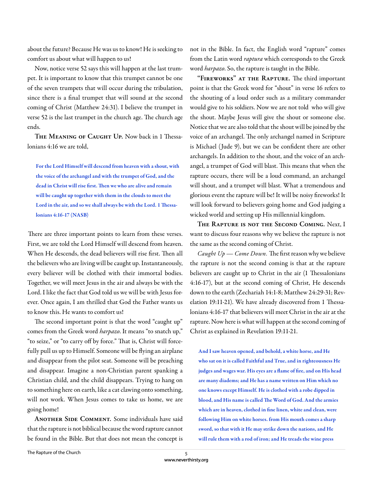about the future? Because He was us to know! He is seeking to comfort us about what will happen to us!

Now, notice verse 52 says this will happen at the last trumpet. It is important to know that this trumpet cannot be one of the seven trumpets that will occur during the tribulation, since there is a final trumpet that will sound at the second coming of Christ (Matthew 24:31). I believe the trumpet in verse 52 is the last trumpet in the church age. The church age ends.

**THE MEANING OF CAUGHT UP.** Now back in 1 Thessalonians 4:16 we are told,

**For the Lord Himself will descend from heaven with a shout, with the voice of the archangel and with the trumpet of God, and the**  dead in Christ will rise first. Then we who are alive and remain **will be caught up together with them in the clouds to meet the**  Lord in the air, and so we shall always be with the Lord. 1 Thessa**lonians 4:16-17 (NASB)**

There are three important points to learn from these verses. First, we are told the Lord Himself will descend from heaven. When He descends, the dead believers will rise first. Then all the believers who are living will be caught up. Instantaneously, every believer will be clothed with their immortal bodies. Together, we will meet Jesus in the air and always be with the Lord. I like the fact that God told us we will be with Jesus forever. Once again, I am thrilled that God the Father wants us to know this. He wants to comfort us!

The second important point is that the word "caught up" comes from the Greek word *harpazo*. It means "to snatch up," "to seize," or "to carry off by force." That is, Christ will forcefully pull us up to Himself. Someone will be flying an airplane and disappear from the pilot seat. Someone will be preaching and disappear. Imagine a non-Christian parent spanking a Christian child, and the child disappears. Trying to hang on to something here on earth, like a cat clawing onto something, will not work. When Jesus comes to take us home, we are going home!

**ANOTHER SIDE COMMENT.** Some individuals have said that the rapture is not biblical because the word rapture cannot be found in the Bible. But that does not mean the concept is not in the Bible. In fact, the English word "rapture" comes from the Latin word *raptura* which corresponds to the Greek word *harpazo*. So, the rapture is taught in the Bible.

"FIREWORKS" AT THE RAPTURE. The third important point is that the Greek word for "shout" in verse 16 refers to the shouting of a loud order such as a military commander would give to his soldiers. Now we are not told who will give the shout. Maybe Jesus will give the shout or someone else. Notice that we are also told that the shout will be joined by the voice of an archangel. The only archangel named in Scripture is Michael (Jude 9), but we can be confident there are other archangels. In addition to the shout, and the voice of an archangel, a trumpet of God will blast. This means that when the rapture occurs, there will be a loud command, an archangel will shout, and a trumpet will blast. What a tremendous and glorious event the rapture will be! It will be noisy fireworks! It will look forward to believers going home and God judging a wicked world and setting up His millennial kingdom.

**The Rapture is not the Second Coming.** Next, I want to discuss four reasons why we believe the rapture is not the same as the second coming of Christ.

*Caught*  $Up$  *— Come Down.* The first reason why we believe the rapture is not the second coming is that at the rapture believers are caught up to Christ in the air (1 Thessalonians 4:16-17), but at the second coming of Christ, He descends down to the earth (Zechariah 14:1-8; Matthew 24:29-31; Revelation 19:11-21). We have already discovered from 1 Thessalonians 4:16-17 that believers will meet Christ in the air at the rapture. Now here is what will happen at the second coming of Christ as explained in Revelation 19:11-21.

**And I saw heaven opened, and behold, a white horse, and He who sat on it is called Faithful and True, and in righteousness He**  judges and wages war. His eyes are a flame of fire, and on His head **are many diadems; and He has a name written on Him which no one knows except Himself. He is clothed with a robe dipped in blood, and His name is called The Word of God. And the armies** which are in heaven, clothed in fine linen, white and clean, were **following Him on white horses. from His mouth comes a sharp sword, so that with it He may strike down the nations, and He will rule them with a rod of iron; and He treads the wine press**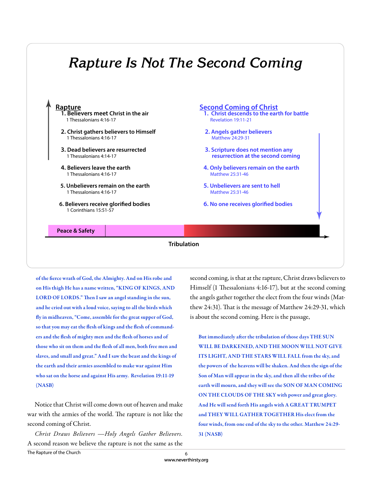## *Rapture Is Not The Second Coming*

#### **Rapture 1. Believers meet Christ in the air** 1 Thessalonians 4:16-17  **2. Christ gathers believers to Himself** 1 Thessalonians 4:16-17  **3. Dead believers are resurrected** 1 Thessalonians 4:14-17  **4. Believers leave the earth** 1 Thessalonians 4:16-17  **5. Unbelievers remain on the earth** 1 Thessalonians 4:16-17  **6. Believers receive glorified bodies**  1 Corinthians 15:51-57 **Second Coming of Christ 1. Christ descends to the earth for battle** Revelation 19:11-21  **2. Angels gather believers** Matthew 24:29-31  **3. Scripture does not mention any resurrection at the second coming 4. Only believers remain on the earth** Matthew 25:31-46  **5. Unbelievers are sent to hell** Matthew 25:31-46  **6. No one receives glorified bodies**

### **Peace & Safety**

## **Tribulation**

**Great Tribulation Millennial Kingdom**

of the fierce wrath of God, the Almighty. And on His robe and **on His thigh He has a name written, "KING OF KINGS, AND**  LORD OF LORDS." Then I saw an angel standing in the sun, **and he cried out with a loud voice, saying to all the birds which**  fly in midheaven, "Come, assemble for the great supper of God, so that you may eat the flesh of kings and the flesh of commanders and the flesh of mighty men and the flesh of horses and of those who sit on them and the flesh of all men, both free men and **slaves, and small and great." And I saw the beast and the kings of the earth and their armies assembled to make war against Him who sat on the horse and against His army. Revelation 19:11-19 (NASB)**

Notice that Christ will come down out of heaven and make war with the armies of the world. The rapture is not like the second coming of Christ.

The Rapture of the Church *Christ Draws Believers —Holy Angels Gather Believers.*  A second reason we believe the rapture is not the same as the second coming, is that at the rapture, Christ draws believers to Himself (1 Thessalonians  $4:16-17$ ), but at the second coming the angels gather together the elect from the four winds (Matthew 24:31). That is the message of Matthew 24:29-31, which is about the second coming. Here is the passage,

But immediately after the tribulation of those days THE SUN **WILL BE DARKENED, AND THE MOON WILL NOT GIVE ITS LIGHT, AND THE STARS WILL FALL from the sky, and the powers of the heavens will be shaken. And then the sign of the Son of Man will appear in the sky, and then all the tribes of the earth will mourn, and they will see the SON OF MAN COMING ON THE CLOUDS OF THE SKY with power and great glory. And He will send forth His angels with A GREAT TRUMPET and THEY WILL GATHER TOGETHER His elect from the four winds, from one end of the sky to the other. Matthew 24:29- 31 (NASB)**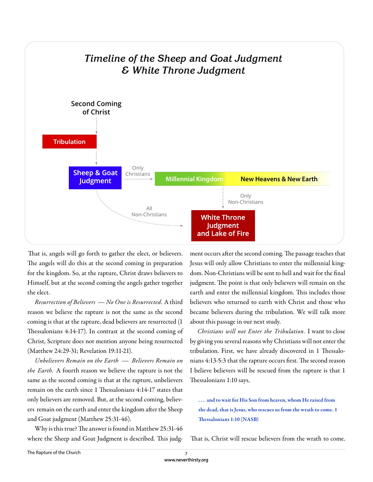

That is, angels will go forth to gather the elect, or believers. The angels will do this at the second coming in preparation for the kingdom. So, at the rapture, Christ draws believers to Himself, but at the second coming the angels gather together the elect.

*Resurrection of Believers — No One is Resurrected.* A third reason we believe the rapture is not the same as the second coming is that at the rapture, dead believers are resurrected (1 Thessalonians 4:14-17). In contrast at the second coming of Christ, Scripture does not mention anyone being resurrected (Matthew 24:29-31; Revelation 19:11-21).

*Unbelievers Remain on the Earth — Believers Remain on the Earth.* A fourth reason we believe the rapture is not the same as the second coming is that at the rapture, unbelievers remain on the earth since 1 Thessalonians 4:14-17 states that only believers are removed. But, at the second coming, believers remain on the earth and enter the kingdom after the Sheep and Goat judgment (Matthew 25:31-46).

Why is this true? The answer is found in Matthew 25:31-46 where the Sheep and Goat Judgment is described. This judg-

ment occurs after the second coming. The passage teaches that Jesus will only allow Christians to enter the millennial kingdom. Non-Christians will be sent to hell and wait for the final judgment. The point is that only believers will remain on the earth and enter the millennial kingdom. This includes those believers who returned to earth with Christ and those who became believers during the tribulation. We will talk more about this passage in our next study.

*Christians will not Enter the Tribulation.* I want to close by giving you several reasons why Christians will not enter the tribulation. First, we have already discovered in 1 Thessalonians 4:13-5:3 that the rapture occurs first. The second reason I believe believers will be rescued from the rapture is that 1 Thessalonians 1:10 says,

**. . . and to wait for His Son from heaven, whom He raised from the dead, that is Jesus, who rescues us from the wrath to come. 1 Thessalonians 1:10 (NASB)** 

That is, Christ will rescue believers from the wrath to come.